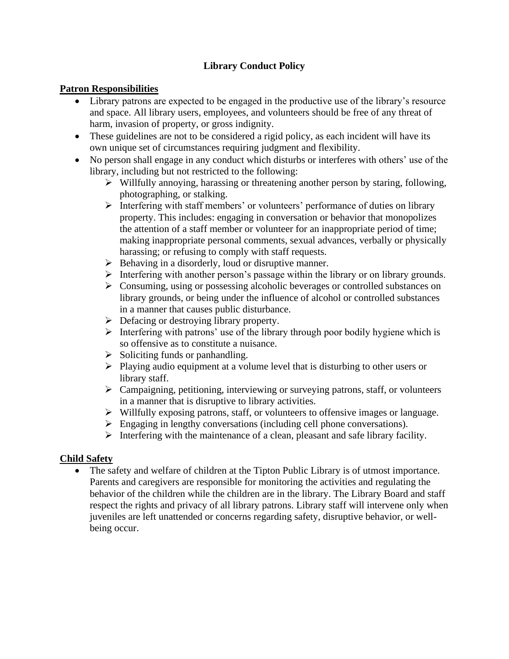# **Library Conduct Policy**

### **Patron Responsibilities**

- Library patrons are expected to be engaged in the productive use of the library's resource and space. All library users, employees, and volunteers should be free of any threat of harm, invasion of property, or gross indignity.
- These guidelines are not to be considered a rigid policy, as each incident will have its own unique set of circumstances requiring judgment and flexibility.
- No person shall engage in any conduct which disturbs or interferes with others' use of the library, including but not restricted to the following:
	- ➢ Willfully annoying, harassing or threatening another person by staring, following, photographing, or stalking.
	- ➢ Interfering with staff members' or volunteers' performance of duties on library property. This includes: engaging in conversation or behavior that monopolizes the attention of a staff member or volunteer for an inappropriate period of time; making inappropriate personal comments, sexual advances, verbally or physically harassing; or refusing to comply with staff requests.
	- ➢ Behaving in a disorderly, loud or disruptive manner.
	- ➢ Interfering with another person's passage within the library or on library grounds.
	- ➢ Consuming, using or possessing alcoholic beverages or controlled substances on library grounds, or being under the influence of alcohol or controlled substances in a manner that causes public disturbance.
	- $\triangleright$  Defacing or destroying library property.
	- $\triangleright$  Interfering with patrons' use of the library through poor bodily hygiene which is so offensive as to constitute a nuisance.
	- $\triangleright$  Soliciting funds or panhandling.
	- ➢ Playing audio equipment at a volume level that is disturbing to other users or library staff.
	- ➢ Campaigning, petitioning, interviewing or surveying patrons, staff, or volunteers in a manner that is disruptive to library activities.
	- ➢ Willfully exposing patrons, staff, or volunteers to offensive images or language.
	- ➢ Engaging in lengthy conversations (including cell phone conversations).
	- $\triangleright$  Interfering with the maintenance of a clean, pleasant and safe library facility.

## **Child Safety**

• The safety and welfare of children at the Tipton Public Library is of utmost importance. Parents and caregivers are responsible for monitoring the activities and regulating the behavior of the children while the children are in the library. The Library Board and staff respect the rights and privacy of all library patrons. Library staff will intervene only when juveniles are left unattended or concerns regarding safety, disruptive behavior, or wellbeing occur.